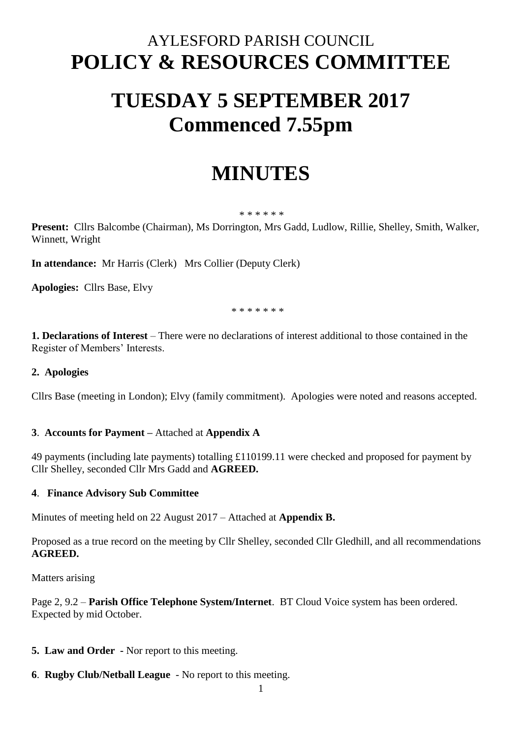# AYLESFORD PARISH COUNCIL **POLICY & RESOURCES COMMITTEE**

# **TUESDAY 5 SEPTEMBER 2017 Commenced 7.55pm**

# **MINUTES**

#### \* \* \* \* \* \*

**Present:** Cllrs Balcombe (Chairman), Ms Dorrington, Mrs Gadd, Ludlow, Rillie, Shelley, Smith, Walker, Winnett, Wright

**In attendance:** Mr Harris (Clerk) Mrs Collier (Deputy Clerk)

**Apologies:** Cllrs Base, Elvy

\* \* \* \* \* \* \*

**1. Declarations of Interest** – There were no declarations of interest additional to those contained in the Register of Members' Interests.

#### **2. Apologies**

Cllrs Base (meeting in London); Elvy (family commitment). Apologies were noted and reasons accepted.

#### **3**. **Accounts for Payment –** Attached at **Appendix A**

49 payments (including late payments) totalling £110199.11 were checked and proposed for payment by Cllr Shelley, seconded Cllr Mrs Gadd and **AGREED.** 

#### **4**. **Finance Advisory Sub Committee**

Minutes of meeting held on 22 August 2017 – Attached at **Appendix B.** 

Proposed as a true record on the meeting by Cllr Shelley, seconded Cllr Gledhill, and all recommendations **AGREED.**

Matters arising

Page 2, 9.2 – **Parish Office Telephone System/Internet**. BT Cloud Voice system has been ordered. Expected by mid October.

- **5. Law and Order -** Nor report to this meeting.
- **6**. **Rugby Club/Netball League** No report to this meeting.